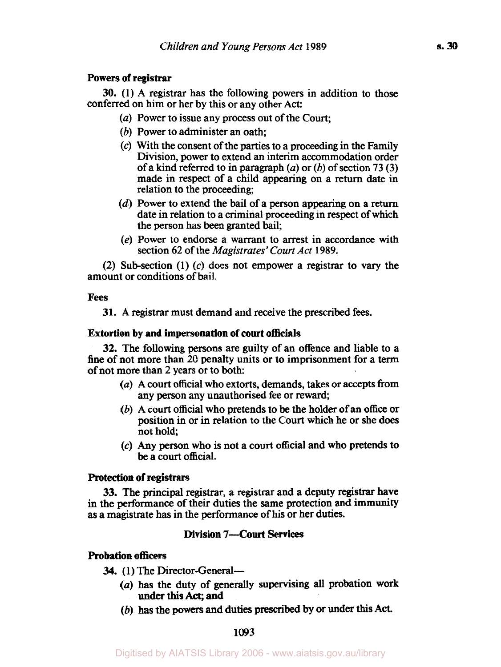## **Powers of registrar**

conferred on him or her by this or any other Act: 30. (1) A registrar has the following powers in addition to those

- *(a)* Power to issue any process out of the Court;
- (b) Power to administer an oath;
- (c) With the consent of the parties to a proceeding in the Family Division, power to extend **an** interim accommodation order of **a** kind referred to in paragraph *(a)* or (b) of section **73** (3) made in respect of a child appearing on a return date in relation to the proceeding;
- *(d)* Power to extend the bail of a person appearing on a return date in relation to a criminal proceeding in respect of which the person has been granted bail;
- *(e)* Power to endorse a warrant to arrest in accordance with section 62 of the *Magistrates' Court Act* 1989.

*(2)* Sub-section (1) (c) does not empower a registrar to **vary** the amount or conditions of bail.

## **Fees**

**31.** A registrar must demand and receive the prescribed fees.

### **Extortion by and impersonation of** *court* **officials**

**32.** The following persons are guilty of an offence and liable to a fine of not more than 20 penalty units or to imprisonment for a **term**  of not more than 2 years or to both

- *(a)* **A** court official who extorts, demands, takes or accepts from any person any unauthorised fee or reward;
- (b) A court official who pretends to be the holder of an office or position in or in relation to the Court which he or she does not hold;
- (c) Any person who is not a court official and who pretends to be a court official.

## **Protection of registrars**

33. The principal registrar, a registrar and a deputy **registrar** have in the performance of their duties the same protection and immunity as a magistrate has in the performance of his or her duties.

# **Division 7-Court Services**

# **Probation officers**

- **34.** (1) The Director-General-
	- (a) has the duty of generally supervising **all** probation work under **this Act;** and
	- (b) has the powers and duties prescribed by or under **this Act.**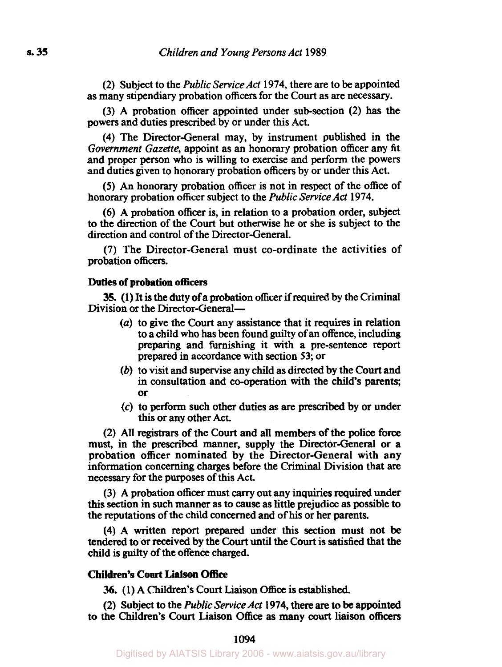(2) Subject to the *Public Service Act* **1974,** there are to be appointed as many stipendiary probation officers for the Court as are necessary.

(3) A probation officer appointed under sub-section (2) has the powers and duties prescribed by or under this Act.

**(4)** The Director-General may, by instrument published in the *Government Gazette, appoint as an honorary probation officer any fit* and proper person who is willing to exercise and perform the powers and duties given to honorary probation officers by or under this Act.

*(5)* An honorary probation officer is not in respect of the office of honorary probation officer subject to the *Public Service Act* **1974.** 

(6) A probation officer is, in relation to a probation order, subject to the direction of the Court but otherwise he or she is subject to the direction and control of the Director-General.

**(7)** The Director-General must co-ordinate the activities of probation officers.

### **Duties** of probation **officers**

Division or the Director-General-**35. (1)** It is the duty of a probation officer **ifrequired** by the Criminal

- *(a)* to give the Court any assistance that it requires in relation to a child who has been found guilty of an offence, including preparing and furnishing it with a pre-sentence report prepared in accordance with section **53;** or
- *(b)* to visit and supervise any child as directed by the Court and in consultation and co-operation with the child's parents; or
- (c) to **perform** such other duties **as** are prescribed by or under *this* or any other Act.

**(2)** *All* **registrars** of the Court and **all** members of the police force must, in the prescribed manner, supply the Director-General or a probation officer nominated by the Director-General with any information concerning charges before the Criminal Division that **are**  necessary for the purposes of **this** Act.

(3) **A** probation officer must *carry* out any inquiries required under **this section** in such manner as to cause as little prejudice as possible to **the** reputations of the child concerned and of **his** or her parents.

**(4)** A written report prepared under this section must not be tendered to or received by the Court until the Court is satisfied that the child is guilty of the offence charged.

# **Children's** *Court* **Liaison** *office*

**36. (1)** A Children's Court Liaison Office is established.

**(2)** Subject to the *Public Service Act* **1974,** there **are to be** appointed to the Children's Court Liaison Office as many court liaison officers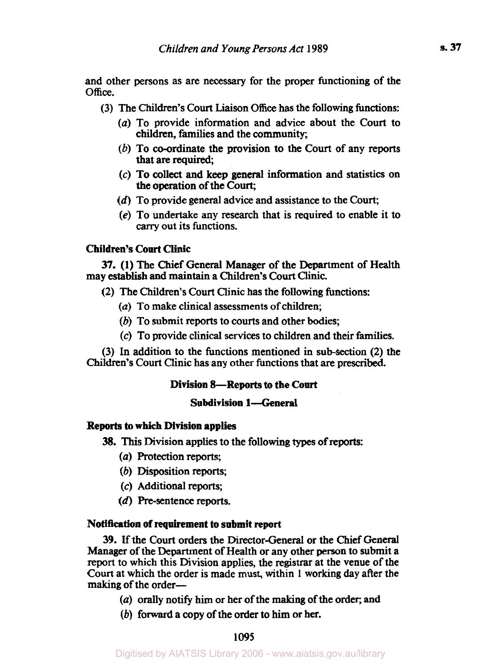and other persons as are necessary for the proper functioning of the Office.

- (3) The Children's **Court** Liaison Office has the following functions:
	- *(a)* **To** provide information and advice about the Court to children, families and the community;
	- (b) **To** co-ordinate the provision to the Court of any reports that are required;
	- *(c)* **To** collect and keep general information and statistics on the operation of the **Court;**
	- (d) **To** provide general advice and assistance to the Court;
	- *(e)* **To** undertake any research that is required to enable it to *carry* out its functions.

# **Children's Court Clinic**

# may establish and maintain a Children's Court Clinic. **37. (1)** The Chief General Manager of the Department of Health

- **(2)** The Children's Court Clinic has the following functions:
	- *(a)* **To** make clinical assessments of children;
	- (b) **To** submit reports to courts and other **bodies;**
	- *(c)* **To** provide clinical services to children and their families.

(3) In addition to the functions mentioned in sub-section **(2)** the Children's Court Clinic has any other functions that *are* prescribed.

### **Division 8-Reports to the Court**

### **Subdivision 1-General**

### **Reports to which Division applies**

**38. This** Division applies to the following **types** of **reports:** 

- *(a)* Protection reports;
- *(b)* Disposition reports;
- *(c)* Additional reports;
- **(d)** Pre-sentence reports.

# **Notification of requirement to submit report**

39. If the **Court** orders the Director-General or the *Chief* General Manager of the Department of Health or any other **person** to submit a report to which this Division applies, the registrar at the venue of the Court at which the order is made must, within **1** working day after the making of the order-

- **(a)** orally notify him or her of the making of the order, **and**
- (b) forward a copy of the order to **him** or her.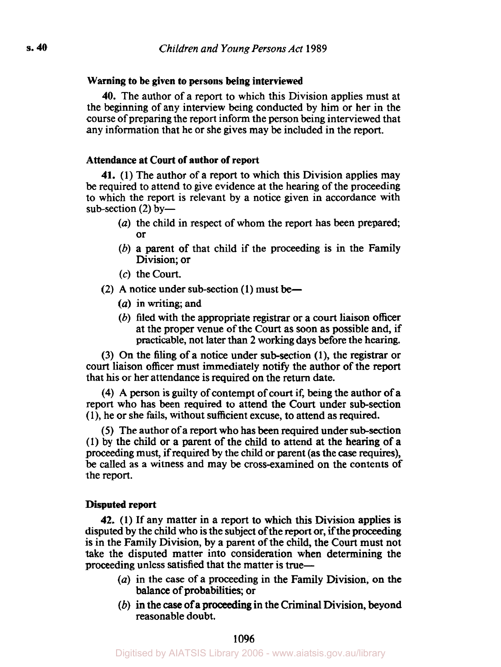### **Warning to be given to persons being interviewed**

**40.** The author of a report to which this Division applies must at the beginning of any interview being conducted by him or her in the course of preparing the report inform the person being interviewed that any information that he or she gives may be included in the report.

# **Attendance at Court of author of report**

**41.** (1) The author of a report to which this Division applies may be required to attend to give evidence at the hearing of the proceeding to which the report is relevant by a notice given in accordance with sub-section  $(2)$  by-

- (a) the child in respect of whom the report has been prepared; or
- (b) a parent of that child if the proceeding is in the Family Division; or
- (c) the Court.
- (2) **A** notice under sub-section (1) must **be-**
	- *(a)* in writing; and
	- (b) filed with the appropriate registrar or a court liaison officer at the proper venue of the Court as soon as possible and, if practicable, not later than 2 working days before the hearing.

(3) On the filing of a notice under sub-section (l), the registrar or court liaison officer must immediately notify the author of the report that his or her attendance is required on the return date.

**(4) A** person is guilty of contempt of court if, being the author of a report who has been required to attend the Court under sub-section **(l),** he or she fails, without sufficient excuse, to attend as required.

*(5)* The author of a report who has been required under sub-section (1) by the child or a parent of the child to attend at the hearing of a proceeding must, if required by the child or parent (as the *case* requires), be called as a witness and may be cross-examined on the contents of the report.

### **Disputed report**

**42.** (1) If any matter in a report to which **this** Division applies is disputed by the child who is the subject of the report or, if the proceeding is in the Family Division, by a parent of the child, the Court must not take the disputed matter into consideration when determining the proceeding unless satisfied that the matter is true—

- *(a)* in the case of a proceeding in the Family Division, on the balance of probabilities; or
- (b) in the case of a proceeding in the Criminal Division, beyond reasonable doubt.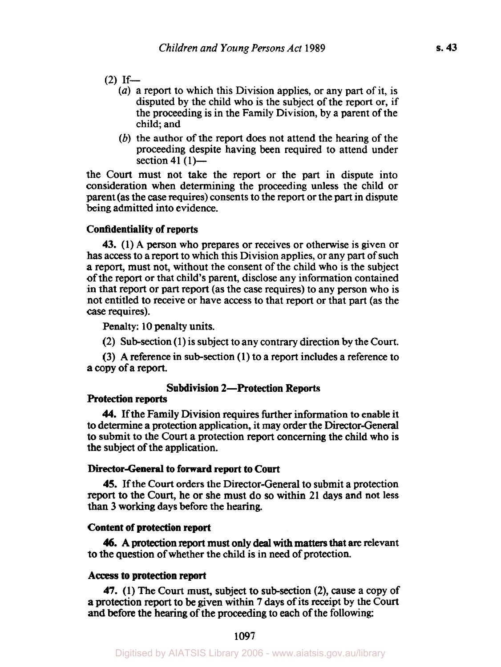# $(2)$  If-

- *(a)* a report to which this Division applies, or any part of it, is disputed by the child who is the subject of the report or, if the proceeding is in the Family Division, by a parent of the child; and
- *(b)* the author of the report does not attend the hearing of the proceeding despite having been required to attend under section 41 (1)-

the Court must not take the report or the part in dispute into consideration when determining the proceeding unless the child or parent (as the case requires) consents to the report or the part in dispute being admitted into evidence.

## **Confidentiality of reports**

**43.** (1) **A** person who prepares or receives or otherwise is given or has access to a report to which this Division applies, or any part of such a report, must not, without the consent of the child who is the subject of the report or that child's parent, disclose any information contained in that report or part report (as the case requires) to any person who is not entitled to receive or have access to that report or that part (as the case requires).

Penalty: 10 penalty units.

(2) Sub-section (1) is subject to any contrary direction by the Court.

(3) A reference in sub-section (1) to a report includes a reference to a copy of a report.

# **Subdivision 2-Protection Reports**

## **Protection reports**

**44.** If the Family Division requires further information to enable it to determine a protection application, it may order the Director-General to submit to the Court a protection report concerning the child who is the subject of the application.

# **Director-General to forward report to Court**

**45.** If the Court orders the Director-General to submit a protection report to the Court, he or she must do **so** within 21 days and not less than 3 working **days** before the hearing.

## **Content of protection report**

to the question of whether the child is in need of protection. *46.* A protection report must only deal with matters that *are* relevant

### **Access to protection report**

**47. (1)** The Court must, subject to sub-section **(2),** cause a copy of **a** protection report to **be** given within **7** days of its receipt by the Court and before the hearing of the proceeding to each of the following: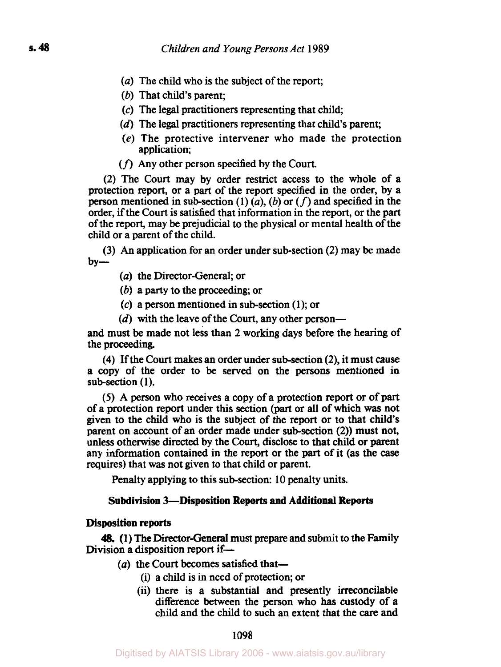- *(a)* The child who is the subject of the report;
- (b) That child's parent:
- *(c)* The legal practitioners representing that child;
- *(d)* The legal practitioners representing that child's parent;
- (e) The protective intervener who made the protection application;
- *(f)* Any other person specified by the Court.

(2) The Court may by order restrict access to the whole of a protection report, or a part of the report specified in the order, by a person mentioned in sub-section  $(1)$   $(a)$ ,  $(b)$  or  $(f)$  and specified in the order, if the Court is satisfied that information in the report, or the part of the report, may be prejudicial to the physical or mental health of the child or a parent of the child.

(3) An application for an order under sub-section (2) may be made  $by-$ 

- *(a)* the Director-General; or
- (b) a party to the proceeding; or
- *(c)* a person mentioned in sub-section **(1);** or
- $(d)$  with the leave of the Court, any other person-

and must be made not less than 2 working days before the hearing of the proceeding.

**(4)** If the Court makes an order under sub-section **(2),** it must cause a copy of the order to be served on the persons mentioned in sub-section **(1).** 

*(5)* **A** person who receives a copy of a protection report or of part of a protection report under **this** section (part or **all** of which **was** not given to the child who is the subject of the report or to that child's parent on account of an order made under sub-section (2)) must not, unless otherwise directed by the Court, disclose to that child or parent any information contained in the report or the **part** of it (as the case requires) that was not given to that child or parent.

Penalty applying to this sub-section: **10** penalty units.

### **Subdivision 3-Disposition Reports and Additional Reports**

### **Disposition reports**

Division a disposition report if-**48. (1)** The Director-General must prepare and submit to the Family

- (a) the Court becomes satisfied that-
	- (i) a child is in need of protection; or
	- (ii) there is a substantial and presently irreconcilable difference between the person who **has** custody of **a**  child and the child to such an extent that the *care* and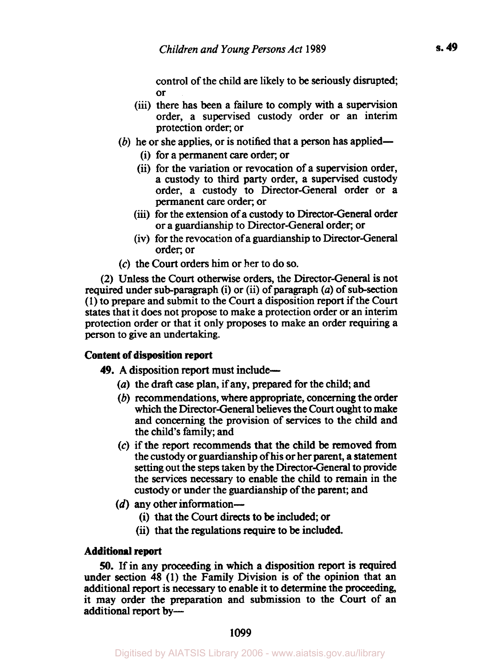control of the child are likely to be seriously disrupted, or

- (iii) there has been a failure to comply with a supervision order, a supervised custody order or an interim protection order; or
- (b) he or she applies, or is notified that a person has applied-
	- (i) for a permanent care order, or
	- (ii) for the variation or revocation of a supervision order, a custody to third party order, a supervised custody order, a custody to Director-General order or a permanent care order; or
	- **(iii)** for the extension of a custody to Director-General order or a guardianship to Director-General order; or
	- (iv) for the revocation of a guardianship to Director-General order; or
- (c) the Court orders him or her to do **so.**

(2) Unless the Court otherwise orders, the Director-General is not required under sub-paragraph (i) or (ii) of paragraph *(a)* of sub-section **(1)** to prepare and submit to the Court a disposition **report** if the Court states that it does not propose to make a protection order or an interim protection order or that it only proposes to make an order requiring a person to give an undertaking.

# **Content of disposition report**

**49. A** disposition report must include-

- *(a)* the **draft** *case* plan, if any, prepared for the child; and
- (b) recommendations, where appropriate, concerning the order which the Director-General believes the **Court** ought to make and concerning the provision of services to the child and the child's family; and
- *(c)* if the report recommends that the child be **removed from**  the custody or guardianship of his or her **parent,** a statement setting out the steps taken by the Director-General to provide the **services** necessary to enable the child to remain in the custody or under the guardianship of the parent; and
- $(d)$  any other information-
	- (i) that the Court directs **to be** included, or
	- (ii) that the regulations require to be included.

## **Additional report**

*50.* If in any proceeding in which a disposition report is required under section **48 (1)** the Family Division is of the opinion that an additional report **is** necessary to enable it to determine the proceeding, it may order the preparation and submission to the Court of an additional report by-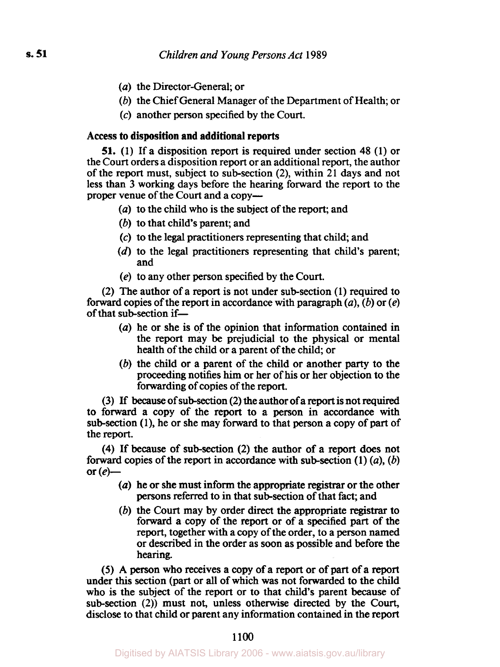- *(a)* the Director-General; or
- (b) the Chief General Manager of the Department of Health; or
- (c) another person specified by the Court.

# **Access to disposition and additional reports**

**51. (1)** If a disposition report is required under section **48 (1)** or the Court orders a disposition report or an additional report, the author of the report must, subject to sub-section **(2),** within **21** days and not less than 3 working days before the hearing forward the report to the proper venue of the Court and a copy-

- *(a)* to the child who is the subject of the report; and
- (b) to that child's parent; and
- (c) to the legal practitioners representing that child; and
- *(d)* to the legal practitioners representing that child's parent; and
- **(e)** to any other person specified by the Court.

(2) The author of a report is not under sub-section **(1)** required to forward copies of the report in accordance with paragraph *(a),* (b) or *(e)*  of that sub-section if-

- *(a)* he or she is of the opinion that information contained in the report may be prejudicial to the physical or mental health of the child or a parent of the child; or
- (b) the child or a parent of the child or another party to the proceeding notifies him or her of his or her objection to the forwarding of copies of the report.

(3) If **because** of **sub-section** (2) the author of a report is not required to forward a copy of the report to a person in accordance with sub-section **(1),** he or she may forward to that person a copy of part of the report.

**(4)** If **because** of sub-section (2) the author of a report does not forward copies of the report in accordance with sub-section  $(1)$   $(a)$ ,  $(b)$ or *(e)-* 

- *(a)* he or she must inform the appropriate **registrar** or the other persons referred to in that sub-section of that fact; and
- (b) the Court may by order direct the appropriate **registrar** to forward a copy of the report or of a specified part of the report, together with a copy of the order, to a person named or described in the order as soon as possible and **before** the hearing.

*(5)* **A** person who receives a copy of a report or of part of a **report**  under **this** section (part or **all** of which was not forwarded to the child who is the subject of the report or to that child's parent because of sub-section (2)) must not, unless otherwise directed by the Court, disclose to that child or parent any information contained in the report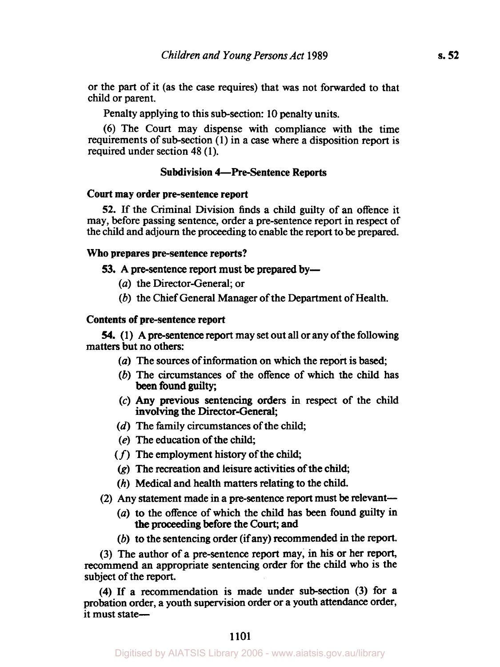or the part of it (as the case requires) that was not forwarded to that child or parent.

Penalty applying to this sub-section: 10 penalty units.

(6) The Court may dispense with compliance with the time requirements of sub-section (1) in a case where a disposition report is required under section **48** (1).

# **Subdivision 4-Pre-Sentence Reports**

### **Court** may **order pre-sentence report**

**52.** If the Criminal Division finds a child guilty of an offence it may, before passing sentence, order a pre-sentence report in respect of the child and adjourn the proceeding to enable the report to be prepared

#### **Who prepares pre-sentence reports?**

### **53.** A pre-sentence report must be prepared by-

- *(a)* the Director-General; or
- (b) the Chief General Manager of the Department of Health.

## **Contents of pre-sentence report**

matters but no others: *54.* **(1)** A pre-sentence report may set out all or any of the following

- *(a)* The sources of information on which the report is based;
- (b) The circumstances of the offence of which the child has been found guilty;
- *(c)* Any previous sentencing orders in respect of the child involving the Director-General,
- (d) The family circumstances of the child;
- *(e)* The education of the child;
- *(f)* The employment history of the child;
- (g) The recreation and leisure activities of the child;
- *(h)* **Medical** and health matters relating to the child.
- **(2)** Any statement made in a pre-sentence report must be relevant-
	- *(a)* to the offence of which the child has been found guilty **in**  the proceeding before the **Court;** and
	- (b) to the sentencing order (if any) recommended in the report.

(3) The author of a pre-sentence report may, in **his** or her report, recommend an appropriate sentencing order for the child who is the subject of the report.

**(4)** If a recommendation is made under sub-section (3) for a probation order, a youth supervision **order** or **a** youth attendance order, it must state-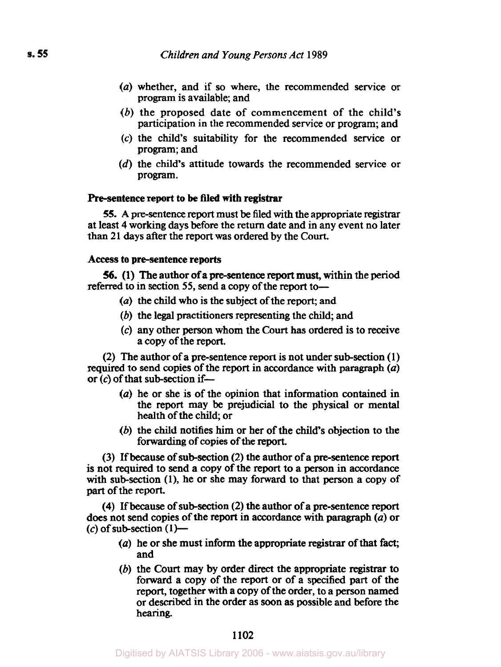- *(a)* whether, and if **so** where, the recommended service or program is available; and
- (b) the proposed date of commencement of the child's participation in the recommended service or program; and
- *(c)* the child's suitability for the recommended service or program; and
- *(d)* the child's attitude towards the recommended service or program.

### **Pre-sentence report** to **be** filed **with registrar**

**55. A** pre-sentence report must be filed with the appropriate **registrar**  at least **4** working days before the return date and in any event no later than 21 days after the report was ordered by the Court.

#### **Access to pre-sentence reports**

referred to in section 55, send a copy of the report to-*56.* **(1)** The author of a pre-sentence report must, within the period

- *(a)* the child who is the subject of the report; and
- (b) the legal practitioners representing the child; and
- (c) any other person whom the Court has ordered is to receive a copy of the report.

(2) The author of a pre-sentence report is not under sub-section **(1)**  required to send copies of the report in accordance with paragraph *(a)*  or  $(c)$  of that sub-section if-

- *(a)* he or she is of the opinion that information contained in the report may be prejudicial to the physical or mental health of the child; or
- (b) the child notifies him or her of the child's objection to the forwarding of copies of the report.

(3) If because of sub-section (2) the author of a pre-sentence report is not required to send a copy of the report to a person in accordance with sub-section (1), he or she may forward to that person a copy of **part** of the report.

**(4)** If because of sub-section (2) the author of a pre-sentence report does not send copies of the report in accordance with paragraph *(a)* or  $(c)$  of sub-section  $(1)$ —

- *(a)* he or she must inform the appropriate **registrar** of that fact; and
- (b) the **Court** may by order *direct* the appropriate **registrar** to forward a copy of the report or of a specified part of the report, together with a copy of the order, to a person named or described in the order as soon as possible and before the hearing.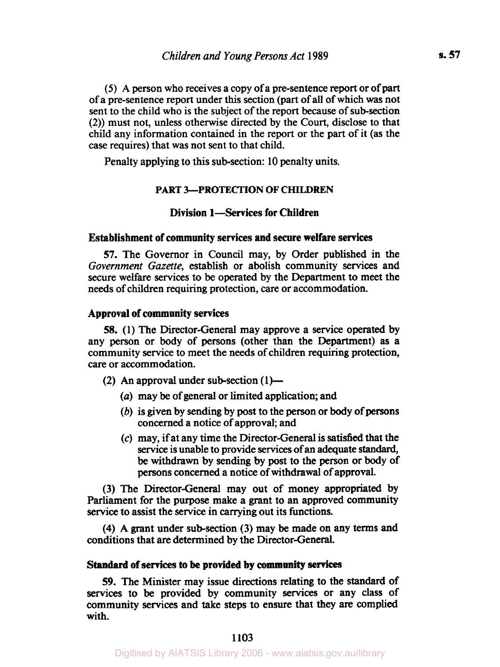*(5)* A person who receives a copy of a pre-sentence report or of part of a pre-sentence report under this section (part of all of which was not sent to the child who is the subject of the report because of sub-section (2)) must not, unless otherwise directed by the Court, disclose to that child any information contained in the report or the part of it (as the case requires) that was not sent to that child.

Penalty applying to this sub-section: 10 penalty units.

# **PART 3-PROTECTION OF CHILDREN**

# **Division 1—Services for Children**

## **Establishment of community services and secure welfare services**

**57.** The Governor in Council may, by Order published in the *Government Gazette,* establish or abolish community **services** and secure welfare **services** to be operated by the Department to meet the needs of children requiring protection, care or accommodation.

# **Approval of community services**

**58.** (1) The Director-General may approve a service operated by any person or body of persons (other than the Department) as a community service to meet the needs of children requiring protection, care or accommodation.

- (2) An approval under sub-section  $(1)$ 
	- *(a)* may be of general or limited application; and
	- *(b)* is given by sending by post to the person or body of persons concerned a notice of approval; and
	- *(c)* may, if at any time the Director-General is satisfied that the service is unable to provide *services* of an adequate **standard,**  be withdrawn by sending by post to the person or body of persons concerned a notice of withdrawal of approval.

(3) The Director-General may out of money appropriated by Parliament for the purpose make a grant to an approved community service to assist the service in carrying out its functions.

**(4)** A grant under sub-section (3) may **be** made on any terms and conditions that are determined by the Director-General.

### **Standard of services to be provided by community services**

*59.* The Minister may issue directions relating to the standard of *services* to be provided by community **services** or any class of community **services** and take steps to ensure that they **are** complied with.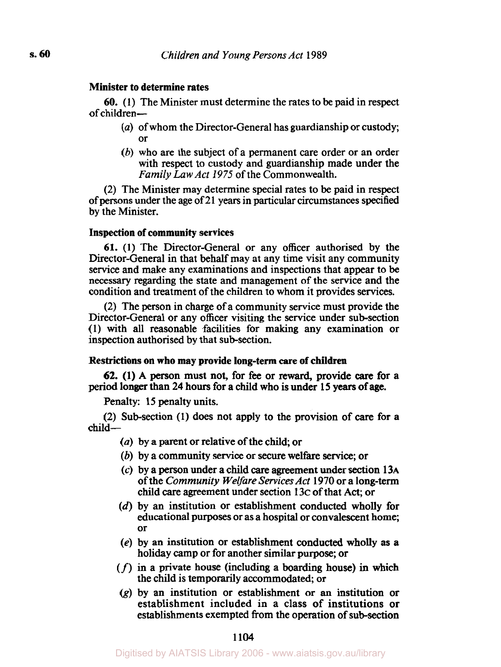### **Minister to determine rates**

**60. (1)** The Minister must determine the rates to be paid in respect of children-

- *(a)* of whom the Director-General has guardianship or custody; or
- *(b)* who are the subject of a permanent care order or an order with respect to custody and guardianship made under the *Family Law Act 1975* of the Commonwealth.

(2) The Minister may determine special rates to be paid in respect of persons under the age of 21 years in particular circumstances specified by the Minister.

## **Inspection of community services**

61. **(1)** The Director-General or any officer authorised by the Director-General in that behalf may at any time visit any community service and make any examinations and inspections that appear to be necessary regarding the state and management of the service and the condition and treatment of the children to whom it provides services.

(2) The person in charge of a community service must provide the Director-General or any officer visiting the service under sub-section (1) with all reasonable facilities for making any examination or inspection authorised by that sub-section.

#### **Restrictions on who may provide long-term care of children**

period longer than **24** hours for a child who is under **15** years of age. **62. (1)** A person must not, for fee or reward, provide care for a

Penalty: 15 penalty units.

(2) Sub-section (1) does not apply to the provision of *care* for a child-

- *(a)* by a parent or relative of the child; or
- *(b)* by a community service or secure welfare **service;** or
- *(c)* by a person under a child *care* agreement under **Section 13A**  of the *Community Welfare Services Act 1970* or **a long-term**  child care agreement under section **13c** of that **Act;** or
- *(d)* by an institution or establishment conducted wholly for educational purposes or as a hospital or convalescent home; or
- *(e)* by an institution or establishment conducted wholly *as* a holiday camp or for another similar purpose; or
- *(f)* in a private house (including a boarding house) in which the child is temporarily accommodated; or
- (g) by an institution or establishment or **an** institution or establishment included in a class of institutions or establishments exempted from the operation of sub-section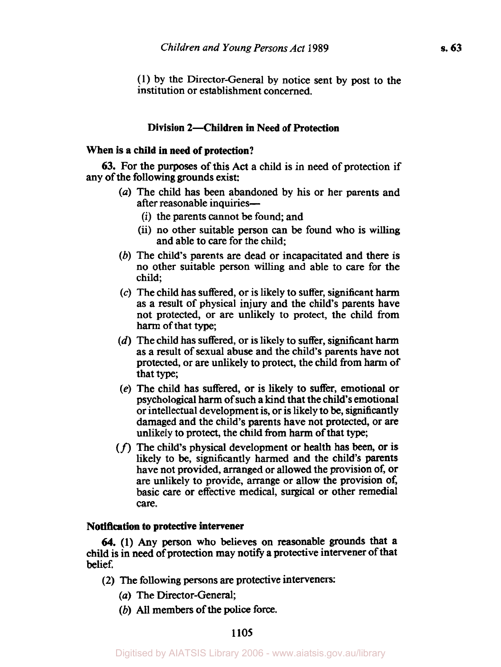(I) by the Director-General by notice sent by post to the institution or establishment concerned.

# **Division 2-Children in Need of Protection**

# **When is a child in need of protection?**

any of the following grounds exist: **63.** For the purposes of this **Act** a child is in need of protection if

- *(a)* The child has been abandoned by his or her parents and after reasonable inquiries-
	- (i) the parents cannot be found; and
	- (ii) no other suitable person can be found who is willing and able to care for the child;
- (b) The child's parents are dead or incapacitated and there is no other suitable person willing and able to care for the child;
- (c) The child has suffered, or is likely to suffer, significant harm as a result of physical injury and the child's parents have not protected, or are unlikely to protect, the child from harm of that type;
- $(d)$  The child has suffered, or is likely to suffer, significant harm as a result of sexual abuse and the child's parents have not protected, or are unlikely to protect, the child from harm of that type;
- (e) The child has suffered, or is likely to suffer, emotional or psychological harm of such a kind that the child's emotional or intellectual development is, or is likely to be, significantly damaged and the child's parents have not protected, or are unlikely to protect, the child from harm of that **type;**
- *(f)* The child's physical development or health has **been,** or *is*  likely to be, significantly harmed and the child's parents have not provided, arranged or allowed the provision of, or are unlikely to provide, arrange or allow the provision **of,**  basic *care* or effective medical, **surgical** or other remedial Care.

# **Notification to protective intervener**

*64.* **(1)** Any person who believes on reasonable grounds that a child is in **need** of protection may notify a protective intervener of that belief

- (2) The following persons are protective interveners:
	- *(a)* The Director-General,
	- (b) *All* members of the police force.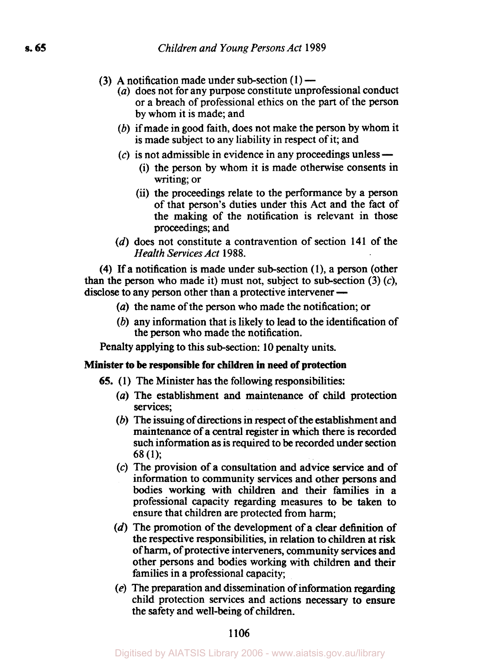- (3) A notification made under sub-section  $(1)$ 
	- *(a)* does not for any purpose constitute unprofessional conduct or a breach of professional ethics on the part of the person by whom it is made; and
	- (b) if made in good faith, does not make the person by whom it is made subject to any liability in respect of it; and
	- *(c)* is not admissible in evidence in any proceedings unless
		- (i) the person by whom it is made otherwise consents in writing; or
		- (ii) the proceedings relate to the performance by a person of that person's duties under this Act and the fact of the making of the notification is relevant in those proceedings; and
	- (d) does not constitute a contravention of section **141** of the *Health Services Act* **1988.**

**(4)** If a notification is made under sub-section **(1),** a person (other than the person who made it) must not, subject to sub-section  $(3)$   $(c)$ , disclose to any person other than a protective intervener —

- *(a)* the name of the person who made the notification; or
- (b) any information that is likely to lead to the identification of the person who made the notification.

Penalty applying to **this** sub-section: **10** penalty units.

# Minister **to be responsible for children in need of protection**

- **65. (1)** The Minister has the following responsibilities:
	- *(a)* The establishment and maintenance of child protection **Services;**
	- *(b)* The issuing of directions in **respect** of the establishment and maintenance of a central register in which there is recorded such information as is required to be recorded under section **68 (1);**
	- (c) The provision of a consultation and advice service and of information to community services and other persons and bodies working with children and their families in a professional capacity regarding measures to be taken to ensure that children are protected from harm;
	- (d) The promotion of the development of a clear definition of the respective responsibilities, in relation to children at risk of harm, of protective interveners, community **services** and other persons and bodies working with children and their families in a professional capacity;
	- *(e)* The preparation and dissemination of information regarding child protection services and actions necessary to ensure the safety and well-being of children.